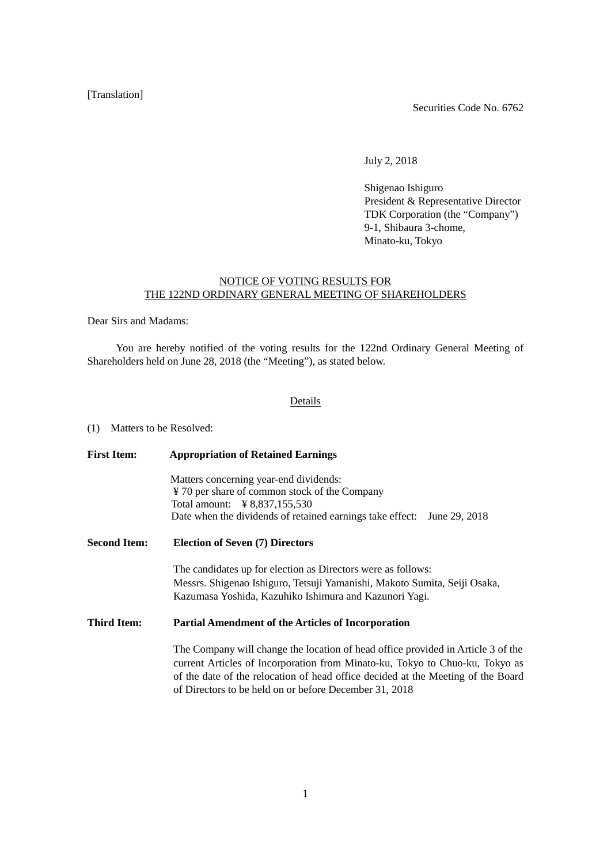## [Translation]

Securities Code No. 6762

July 2, 2018

Shigenao Ishiguro President & Representative Director TDK Corporation (the "Company") 9-1, Shibaura 3-chome, Minato-ku, Tokyo

## NOTICE OF VOTING RESULTS FOR THE 122ND ORDINARY GENERAL MEETING OF SHAREHOLDERS

Dear Sirs and Madams:

You are hereby notified of the voting results for the 122nd Ordinary General Meeting of Shareholders held on June 28, 2018 (the "Meeting"), as stated below.

## Details

(1) Matters to be Resolved:

| <b>First Item:</b>  | <b>Appropriation of Retained Earnings</b>                                                                                                                                                                                                                                                                      |  |  |  |  |
|---------------------|----------------------------------------------------------------------------------------------------------------------------------------------------------------------------------------------------------------------------------------------------------------------------------------------------------------|--|--|--|--|
|                     | Matters concerning year-end dividends:<br>¥ 70 per share of common stock of the Company                                                                                                                                                                                                                        |  |  |  |  |
|                     | Date when the dividends of retained earnings take effect: June 29, 2018                                                                                                                                                                                                                                        |  |  |  |  |
| <b>Second Item:</b> | <b>Election of Seven (7) Directors</b>                                                                                                                                                                                                                                                                         |  |  |  |  |
|                     | The candidates up for election as Directors were as follows:<br>Messrs. Shigenao Ishiguro, Tetsuji Yamanishi, Makoto Sumita, Seiji Osaka,<br>Kazumasa Yoshida, Kazuhiko Ishimura and Kazunori Yagi.                                                                                                            |  |  |  |  |
| <b>Third Item:</b>  | <b>Partial Amendment of the Articles of Incorporation</b>                                                                                                                                                                                                                                                      |  |  |  |  |
|                     | The Company will change the location of head office provided in Article 3 of the<br>current Articles of Incorporation from Minato-ku, Tokyo to Chuo-ku, Tokyo as<br>of the date of the relocation of head office decided at the Meeting of the Board<br>of Directors to be held on or before December 31, 2018 |  |  |  |  |